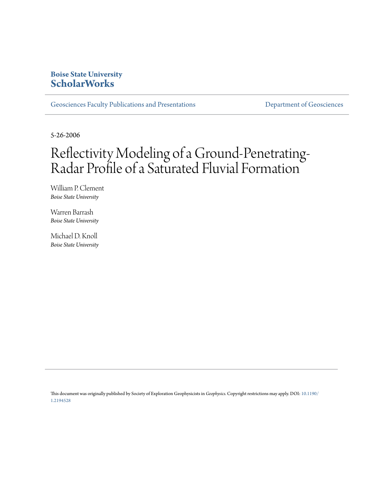# **Boise State University [ScholarWorks](https://scholarworks.boisestate.edu)**

[Geosciences Faculty Publications and Presentations](https://scholarworks.boisestate.edu/geo_facpubs) **Exercise Secure 2018** [Department of Geosciences](https://scholarworks.boisestate.edu/geosciences)

5-26-2006

# Reflectivity Modeling of a Ground-Penetrating-Radar Profile of a Saturated Fluvial Formation

William P. Clement *Boise State University*

Warren Barrash *Boise State University*

Michael D. Knoll *Boise State University*

This document was originally published by Society of Exploration Geophysicists in *Geophysics.* Copyright restrictions may apply. DOI: [10.1190/](http://dx.doi.org/10.1190/1.2194528) [1.2194528](http://dx.doi.org/10.1190/1.2194528)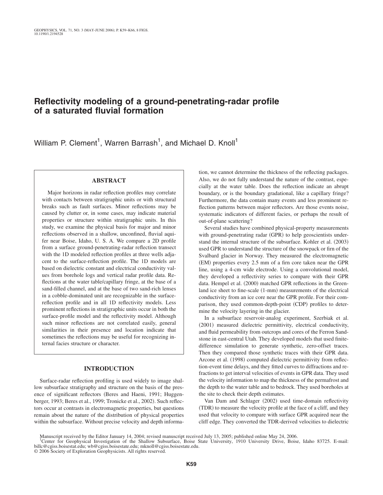# **Reflectivity modeling of a ground-penetrating-radar profile of a saturated fluvial formation**

William P. Clement<sup>1</sup>, Warren Barrash<sup>1</sup>, and Michael D. Knoll<sup>1</sup>

## **ABSTRACT**

Major horizons in radar reflection profiles may correlate with contacts between stratigraphic units or with structural breaks such as fault surfaces. Minor reflections may be caused by clutter or, in some cases, may indicate material properties or structure within stratigraphic units. In this study, we examine the physical basis for major and minor reflections observed in a shallow, unconfined, fluvial aquifer near Boise, Idaho, U. S. A. We compare a 2D profile from a surface ground-penetrating-radar reflection transect with the 1D modeled reflection profiles at three wells adjacent to the surface-reflection profile. The 1D models are based on dielectric constant and electrical conductivity values from borehole logs and vertical radar profile data. Reflections at the water table/capillary fringe, at the base of a sand-filled channel, and at the base of two sand-rich lenses in a cobble-dominated unit are recognizable in the surfacereflection profile and in all 1D reflectivity models. Less prominent reflections in stratigraphic units occur in both the surface-profile model and the reflectivity model. Although such minor reflections are not correlated easily, general similarities in their presence and location indicate that sometimes the reflections may be useful for recognizing internal facies structure or character.

# **INTRODUCTION**

Surface-radar reflection profiling is used widely to image shallow subsurface stratigraphy and structure on the basis of the presence of significant reflectors (Beres and Haeni, 1991; Huggenberger, 1993; Beres et al., 1999; Tronicke et al., 2002). Such reflectors occur at contrasts in electromagnetic properties, but questions remain about the nature of the distribution of physical properties within the subsurface. Without precise velocity and depth information, we cannot determine the thickness of the reflecting packages. Also, we do not fully understand the nature of the contrast, especially at the water table. Does the reflection indicate an abrupt boundary, or is the boundary gradational, like a capillary fringe? Furthermore, the data contain many events and less prominent reflection patterns between major reflectors. Are those events noise, systematic indicators of different facies, or perhaps the result of out-of-plane scattering?

Several studies have combined physical-property measurements with ground-penetrating radar (GPR) to help geoscientists understand the internal structure of the subsurface. Kohler et al. (2003) used GPR to understand the structure of the snowpack or firn of the Svalbard glacier in Norway. They measured the electromagnetic (EM) properties every 2.5 mm of a firn core taken near the GPR line, using a 4-cm wide electrode. Using a convolutional model, they developed a reflectivity series to compare with their GPR data. Hempel et al. (2000) matched GPR reflections in the Greenland ice sheet to fine-scale (1-mm) measurements of the electrical conductivity from an ice core near the GPR profile. For their comparison, they used common-depth-point (CDP) profiles to determine the velocity layering in the glacier.

In a subsurface reservoir-analog experiment, Szerbiak et al. (2001) measured dielectric permittivity, electrical conductivity, and fluid permeability from outcrops and cores of the Ferron Sandstone in east-central Utah. They developed models that used finitedifference simulation to generate synthetic, zero-offset traces. Then they compared those synthetic traces with their GPR data. Arcone et al. (1998) computed dielectric permittivity from reflection-event time delays, and they fitted curves to diffractions and refractions to get interval velocities of events in GPR data. They used the velocity information to map the thickness of the permafrost and the depth to the water table and to bedrock. They used boreholes at the site to check their depth estimates.

Van Dam and Schlager (2002) used time-domain reflectivity (TDR) to measure the velocity profile at the face of a cliff, and they used that velocity to compare with surface GPR acquired near the cliff edge. They converted the TDR-derived velocities to dielectric

Manuscript received by the Editor January 14, 2004; revised manuscript received July 13, 2005; published online May 24, 2006.<br><sup>1</sup>Center for Geophysical Investigation of the Shallow Subsurface, Boise State University, 1910 billc@cgiss.boisestat.edu; wb@cgiss.boisestate.edu; mknoll@cgiss.boisestate.edu.

<sup>© 2006</sup> Society of Exploration Geophysicists. All rights reserved.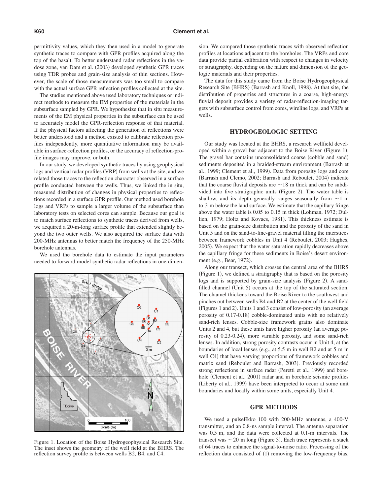permittivity values, which they then used in a model to generate synthetic traces to compare with GPR profiles acquired along the top of the basalt. To better understand radar reflections in the vadose zone, van Dam et al. (2003) developed synthetic GPR traces using TDR probes and grain-size analysis of thin sections. However, the scale of those measurements was too small to compare with the actual surface GPR reflection profiles collected at the site.

The studies mentioned above used laboratory techniques or indirect methods to measure the EM properties of the materials in the subsurface sampled by GPR. We hypothesize that in situ measurements of the EM physical properties in the subsurface can be used to accurately model the GPR-reflection response of that material. If the physical factors affecting the generation of reflections were better understood and a method existed to calibrate reflection profiles independently, more quantitative information may be available in surface-reflection profiles, or the accuracy of reflection-profile images may improve, or both.

In our study, we developed synthetic traces by using geophysical logs and vertical radar profiles (VRP) from wells at the site, and we related those traces to the reflection character observed in a surface profile conducted between the wells. Thus, we linked the in situ, measured distribution of changes in physical properties to reflections recorded in a surface GPR profile. Our method used borehole logs and VRPs to sample a larger volume of the subsurface than laboratory tests on selected cores can sample. Because our goal is to match surface reflections to synthetic traces derived from wells, we acquired a 20-m-long surface profile that extended slightly beyond the two outer wells. We also acquired the surface data with 200-MHz antennas to better match the frequency of the 250-MHz borehole antennas.

We used the borehole data to estimate the input parameters needed to forward model synthetic radar reflections in one dimen-



Figure 1. Location of the Boise Hydrogeophysical Research Site. The inset shows the geometry of the well field at the BHRS. The reflection survey profile is between wells B2, B4, and C4.

sion. We compared those synthetic traces with observed reflection profiles at locations adjacent to the boreholes. The VRPs and core data provide partial calibration with respect to changes in velocity or stratigraphy, depending on the nature and dimension of the geologic materials and their properties.

The data for this study came from the Boise Hydrogeophysical Research Site (BHRS) (Barrash and Knoll, 1998). At that site, the distribution of properties and structures in a coarse, high-energy fluvial deposit provides a variety of radar-reflection-imaging targets with subsurface control from cores, wireline logs, and VRPs at wells.

#### **HYDROGEOLOGIC SETTING**

Our study was located at the BHRS, a research wellfield developed within a gravel bar adjacent to the Boise River (Figure 1). The gravel bar contains unconsolidated coarse (cobble and sand) sediments deposited in a braided-stream environment (Barrash et al., 1999; Clement et al., 1999). Data from porosity logs and core (Barrash and Clemo, 2002; Barrash and Reboulet, 2004) indicate that the coarse fluvial deposits are  $\sim$  18 m thick and can be subdivided into five stratigraphic units (Figure 2). The water table is shallow, and its depth generally ranges seasonally from  $\sim$  1 m to 3 m below the land surface. We estimate that the capillary fringe above the water table is 0.05 to 0.15 m thick Lohman, 1972; Dullien, 1979; Holtz and Kovacs, 1981). This thickness estimate is based on the grain-size distribution and the porosity of the sand in Unit 5 and on the sand-to-fine-gravel material filling the interstices between framework cobbles in Unit 4 (Reboulet, 2003; Hughes, 2005). We expect that the water saturation rapidly decreases above the capillary fringe for these sediments in Boise's desert environment (e.g., Bear, 1972).

Along our transect, which crosses the central area of the BHRS (Figure 1), we defined a stratigraphy that is based on the porosity logs and is supported by grain-size analysis (Figure 2). A sandfilled channel (Unit 5) occurs at the top of the saturated section. The channel thickens toward the Boise River to the southwest and pinches out between wells B4 and B2 at the center of the well field (Figures 1 and 2). Units 1 and 3 consist of low-porosity (an average porosity of 0.17-0.18) cobble-dominated units with no relatively sand-rich lenses. Cobble-size framework grains also dominate Units 2 and 4, but these units have higher porosity (an average porosity of 0.23-0.24), more variable porosity, and some sand-rich lenses. In addition, strong porosity contrasts occur in Unit 4, at the boundaries of local lenses (e.g., at 5.5 m in well B2 and at 5 m in well C4) that have varying proportions of framework cobbles and matrix sand (Reboulet and Barrash, 2003). Previously recorded strong reflections in surface radar (Peretti et al., 1999) and borehole (Clement et al., 2001) radar and in borehole seismic profiles (Liberty et al., 1999) have been interpreted to occur at some unit boundaries and locally within some units, especially Unit 4.

#### **GPR METHODS**

We used a pulseEkko 100 with 200-MHz antennas, a 400-V transmitter, and an 0.8-ns sample interval. The antenna separation was 0.5 m, and the data were collected at 0.1-m intervals. The transect was  $\sim$  20 m long (Figure 3). Each trace represents a stack of 64 traces to enhance the signal-to-noise ratio. Processing of the reflection data consisted of (1) removing the low-frequency bias,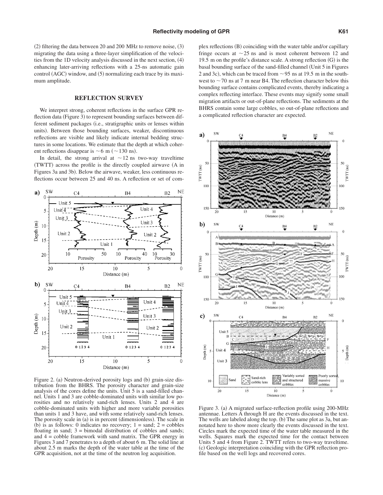$(2)$  filtering the data between 20 and 200 MHz to remove noise,  $(3)$ migrating the data using a three-layer simplification of the velocities from the 1D velocity analysis discussed in the next section, (4) enhancing later-arriving reflections with a 25-ns automatic gain control (AGC) window, and (5) normalizing each trace by its maximum amplitude.

#### **REFLECTION SURVEY**

We interpret strong, coherent reflections in the surface GPR reflection data (Figure 3) to represent bounding surfaces between different sediment packages (i.e., stratigraphic units or lenses within units). Between those bounding surfaces, weaker, discontinuous reflections are visible and likely indicate internal bedding structures in some locations. We estimate that the depth at which coherent reflections disappear is  $\sim$  6 m ( $\sim$  130 ns).

In detail, the strong arrival at  $\sim$  12 ns two-way traveltime (TWTT) across the profile is the directly coupled airwave (A in Figures 3a and 3b). Below the airwave, weaker, less continuous reflections occur between 25 and 40 ns. A reflection or set of com-



Figure 2. (a) Neutron-derived porosity logs and (b) grain-size distribution from the BHRS. The porosity character and grain-size analysis of the cores define the units. Unit 5 is a sand-filled channel. Units 1 and 3 are cobble-dominated units with similar low porosities and no relatively sand-rich lenses. Units 2 and 4 are cobble-dominated units with higher and more variable porosities than units 1 and 3 have, and with some relatively sand-rich lenses. The porosity scale in (a) is in percent (dimensionless). The scale in (b) is as follows: 0 indicates no recovery;  $1 =$  sand;  $2 =$  cobbles floating in sand;  $3 = binodal$  distribution of cobbles and sands; and 4 = cobble framework with sand matrix. The GPR energy in Figures 3 and 7 penetrates to a depth of about 6 m. The solid line at about 2.5 m marks the depth of the water table at the time of the GPR acquisition, not at the time of the neutron log acquisition.

plex reflections (B) coinciding with the water table and/or capillary fringe occurs at  $\sim$  25 ns and is most coherent between 12 and 19.5 m on the profile's distance scale. A strong reflection  $(G)$  is the basal bounding surface of the sand-filled channel Unit 5 in Figures 2 and 3c), which can be traced from  $\sim$  95 ns at 19.5 m in the southwest to  $\sim$  70 ns at 7 m near B4. The reflection character below this bounding surface contains complicated events, thereby indicating a complex reflecting interface. These events may signify some small migration artifacts or out-of-plane reflections. The sediments at the BHRS contain some large cobbles, so out-of-plane reflections and a complicated reflection character are expected.



Figure 3. (a) A migrated surface-reflection profile using 200-MHz antennae. Letters A through H are the events discussed in the text. The wells are labeled along the top. (b) The same plot as 3a, but annotated here to show more clearly the events discussed in the text. Circles mark the expected time of the water table measured in the wells. Squares mark the expected time for the contact between Units 5 and 4 from Figure 2. TWTT refers to two-way traveltime. (c) Geologic interpretation coinciding with the GPR reflection profile based on the well logs and recovered cores.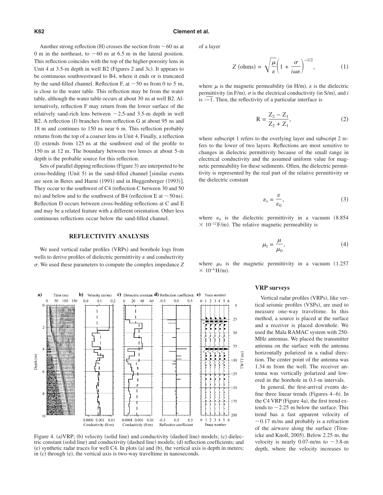Another strong reflection (H) crosses the section from  $\sim$  60 ns at 0 m in the northeast, to  $\sim$  60 ns at 6.5 m in the lateral position. This reflection coincides with the top of the higher-porosity lens in Unit 4 at 3.5-m depth in well B2 (Figures 2 and 3c). It appears to be continuous southwestward to B4, where it ends or is truncated by the sand-filled channel. Reflection F, at  $\sim$  50 ns from 0 to 5 m, is close to the water table. This reflection may be from the water table, although the water table occurs at about 30 ns at well B2. Alternatively, reflection F may return from the lower surface of the relatively sand-rich lens between  $\sim$  2.5-and 3.5-m depth in well B2. A reflection (J) branches from reflection G at about 95 ns and 18 m and continues to 150 ns near 6 m. This reflection probably returns from the top of a coarser lens in Unit 4. Finally, a reflection (I) extends from 125 ns at the southwest end of the profile to 150 ns at 12 m. The boundary between two lenses at about 5-m depth is the probable source for this reflection.

Sets of parallel dipping reflections (Figure 3) are interpreted to be cross-bedding (Unit 5) in the sand-filled channel [similar events are seen in Beres and Haeni (1991) and in Huggenberger (1993)]. They occur to the southwest of C4 (reflection C between 30 and 50 ns) and below and to the southwest of B4 (reflection E at  $\sim$  50 ns). Reflection D occurs between cross-bedding reflections at C and E and may be a related feature with a different orientation. Other less continuous reflections occur below the sand-filled channel.

#### **REFLECTIVITY ANALYSIS**

We used vertical radar profiles (VRPs) and borehole logs from wells to derive profiles of dielectric permittivity  $\varepsilon$  and conductivity -. We used these parameters to compute the complex impedance *Z*



Figure 4. (a)VRP; (b) velocity (solid line) and conductivity (dashed line) models; (c) dielectric constant (solid line) and conductivity (dashed line) models; (d) reflection coefficients; and (e) synthetic radar traces for well C4. In plots (a) and (b), the vertical axis is depth in meters; in (c) through (e), the vertical axis is two-way traveltime in nanoseconds.

of a layer

$$
Z\text{ (ohms)} = \sqrt{\frac{\mu}{\varepsilon}} \left( 1 + \frac{\sigma}{i\omega\varepsilon} \right)^{-1/2},\tag{1}
$$

where  $\mu$  is the magnetic permeability (in H/m),  $\varepsilon$  is the dielectric permittivity (in F/m),  $\sigma$  is the electrical conductivity (in S/m), and *i* is  $\sqrt{-1}$ . Then, the reflectivity of a particular interface is

$$
R = \frac{Z_2 - Z_1}{Z_2 + Z_1},
$$
 (2)

where subscript 1 refers to the overlying layer and subscript 2 refers to the lower of two layers. Reflections are most sensitive to changes in dielectric permittivity because of the small range in electrical conductivity and the assumed uniform value for magnetic permeability for these sediments. Often, the dielectric permittivity is represented by the real part of the relative permittivity or the dielectric constant

$$
\varepsilon_{\rm r} = \frac{\varepsilon}{\varepsilon_0},\tag{3}
$$

where  $\varepsilon_0$  is the dielectric permittivity in a vacuum (8.854)  $\times$  10<sup>-12</sup> F/m). The relative magnetic permeability is

$$
\mu_{\rm r} = \frac{\mu}{\mu_0},\tag{4}
$$

where  $\mu_0$  is the magnetic permittivity in a vacuum (1.257)  $× 10^{-6}$  H/m).

#### **VRP surveys**

Vertical radar profiles (VRPs), like vertical seismic profiles (VSPs), are used to measure one-way traveltime. In this method, a source is placed at the surface and a receiver is placed downhole. We used the Mala RAMAC system with 250- MHz antennas. We placed the transmitter antenna on the surface with the antenna horizontally polarized in a radial direction. The center point of the antenna was 1.34 m from the well. The receiver antenna was vertically polarized and lowered in the borehole in 0.1-m intervals.

In general, the first-arrival events define three linear trends (Figures 4–6). In the C4 VRP (Figure 4a), the first trend extends to  $\sim$  2.25 m below the surface. This trend has a fast apparent velocity of  $\sim$  0.17 m/ns and probably is a refraction of the airwave along the surface (Tronicke and Knoll, 2005). Below 2.25 m, the velocity is nearly 0.07-m/ns to  $\sim$  3.8-m depth, where the velocity increases to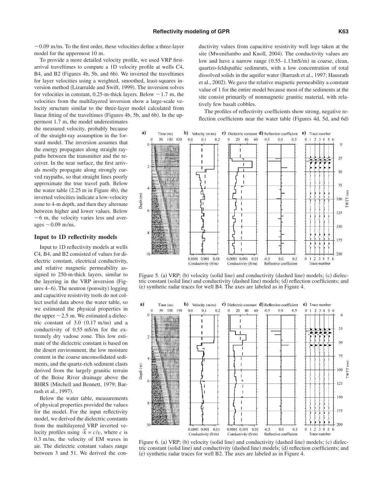$\sim$  0.09 m/ns. To the first order, these velocities define a three-layer model for the uppermost 10 m.

To provide a more detailed velocity profile, we used VRP firstarrival traveltimes to compute a 1D velocity profile at wells C4, B4, and B2 (Figures 4b, 5b, and 6b). We inverted the traveltimes for layer velocities using a weighted, smoothed, least-squares inversion method (Lizarralde and Swift, 1999). The inversion solves for velocities in constant, 0.25-m-thick layers. Below  $\sim$  1.7 m, the velocities from the multilayered inversion show a large-scale velocity structure similar to the three-layer model calculated from linear fitting of the traveltimes (Figures 4b, 5b, and 6b). In the up-

permost 1.7 m, the model underestimates the measured velocity, probably because of the straight-ray assumption in the forward model. The inversion assumes that the energy propagates along straight raypaths between the transmitter and the receiver. In the near surface, the first arrivals mostly propagate along strongly curved raypaths, so that straight lines poorly approximate the true travel path. Below the water table  $(2.25 \text{ m in Figure 4b})$ , the inverted velocities indicate a low-velocity zone to 4-m depth, and then they alternate between higher and lower values. Below  $\sim$  6 m, the velocity varies less and averages  $\sim$  0.09 m/ns.

#### **Input to 1D reflectivity models**

Input to 1D reflectivity models at wells C4, B4, and B2 consisted of values for dielectric constant, electrical conductivity, and relative magnetic permeability assigned to 250-m-thick layers, similar to the layering in the VRP inversion (Figures 4–6). The neutron (porosity) logging and capacitive resistivity tools do not collect useful data above the water table, so we estimated the physical properties in the upper  $\sim$  2.5 m. We estimated a dielectric constant of  $3.0$   $(0.17 \text{ m/ns})$  and a conductivity of 0.55 mS/m for the extremely dry vadose zone. This low estimate of the dielectric constant is based on the desert environment, the low moisture content in the coarse unconsolidated sediments, and the quartz-rich sediment clasts derived from the largely granitic terrain of the Boise River drainage above the BHRS (Mitchell and Bennett, 1979; Barrash et al., 1997).

Below the water table, measurements of physical properties provided the values for the model. For the input reflectivity model, we derived the dielectric constants from the multilayered VRP inverted velocity profiles using  $\sqrt{k} = c/v$ , where *c* is 0.3 m/ns, the velocity of EM waves in air. The dielectric constant values range between 3 and 51. We derived the conductivity values from capacitive resistivity well logs taken at the site (Mwenifumbo and Knoll, 2004). The conductivity values are low and have a narrow range (0.55–1.13mS/m) in coarse, clean, quartzo-feldspathic sediments, with a low concentration of total dissolved solids in the aquifer water (Barrash et al., 1997; Hausrath et al., 2002). We gave the relative magnetic permeability a constant value of 1 for the entire model because most of the sediments at the site consist primarily of nonmagnetic granitic material, with relatively few basalt cobbles.

The profiles of reflectivity coefficients show strong, negative reflection coefficients near the water table (Figures 4d, 5d, and 6d)



Figure 5. (a) VRP; (b) velocity (solid line) and conductivity (dashed line) models; (c) dielectric constant (solid line) and conductivity (dashed line) models; (d) reflection coefficients; and (e) synthetic radar traces for well B4. The axes are labeled as in Figure 4.



Figure 6. (a) VRP; (b) velocity (solid line) and conductivity (dashed line) models; (c) dielectric constant (solid line) and conductivity (dashed line) models; (d) reflection coefficients; and (e) synthetic radar traces for well B2. The axes are labeled as in Figure 4.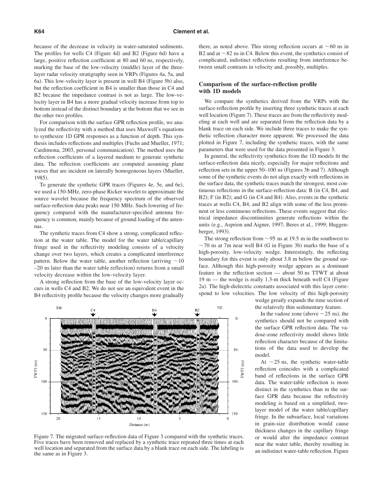because of the decrease in velocity in water-saturated sediments. The profiles for wells C4 (Figure 4d) and B2 (Figure 6d) have a large, positive reflection coefficient at 80 and 60 ns, respectively, marking the base of the low-velocity (middle) layer of the threelayer radar velocity stratigraphy seen in VRPs (Figures 4a, 5a, and 6a). This low-velocity layer is present in well B4 (Figure 5b) also, but the reflection coefficient in B4 is smaller than those in C4 and B2 because the impedance contrast is not as large. The low-velocity layer in B4 has a more gradual velocity increase from top to bottom instead of the distinct boundary at the bottom that we see in the other two profiles.

For comparison with the surface GPR reflection profile, we analyzed the reflectivity with a method that uses Maxwell's equations to synthesize 1D GPR responses as a function of depth. This synthesis includes reflections and multiples (Fuchs and Mueller, 1971; Cardimona, 2003, personal communication). The method uses the reflection coefficients of a layered medium to generate synthetic data. The reflection coefficients are computed assuming plane waves that are incident on laterally homogeneous layers (Mueller, 1985).

To generate the synthetic GPR traces (Figures 4e, 5e, and 6e), we used a 150-MHz, zero-phase Ricker wavelet to approximate the source wavelet because the frequency spectrum of the observed surface-reflection data peaks near 150 MHz. Such lowering of frequency compared with the manufacturer-specified antenna frequency is common, mainly because of ground loading of the antennas.

The synthetic traces from C4 show a strong, complicated reflection at the water table. The model for the water table/capillary fringe used in the reflectivity modeling consists of a velocity change over two layers, which creates a complicated interference pattern. Below the water table, another reflection (arriving  $\sim$  10 -20 ns later than the water table reflection) returns from a small velocity decrease within the low-velocity layer.

A strong reflection from the base of the low-velocity layer occurs in wells C4 and B2. We do not see an equivalent event in the B4 reflectivity profile because the velocity changes more gradually there, as noted above. This strong reflection occurs at  $\sim 60$  ns in B2 and at  $\sim$  82 ns in C4. Below this event, the synthetics consist of complicated, indistinct reflections resulting from interference between small contrasts in velocity and, possibly, multiples.

## **Comparison of the surface-reflection profile with 1D models**

We compare the synthetics derived from the VRPs with the surface-reflection profile by inserting three synthetic traces at each well location (Figure 7). These traces are from the reflectivity modeling at each well and are separated from the reflection data by a blank trace on each side. We include three traces to make the synthetic reflection character more apparent. We processed the data plotted in Figure 7, including the synthetic traces, with the same parameters that were used for the data presented in Figure 3.

In general, the reflectivity synthetics from the 1D models fit the surface-reflection data nicely, especially for major reflections and reflection sets in the upper 50–100 ns (Figures 3b and 7). Although some of the synthetic events do not align exactly with reflections in the surface data, the synthetic traces match the strongest, most continuous reflections in the surface-reflection data: B (in C4, B4, and B2); F (in B2); and G (in C4 and B4). Also, events in the synthetic traces at wells C4, B4, and B2 align with some of the less prominent or less continuous reflections. These events suggest that electrical impedance discontinuities generate reflections within the units (e.g., Asprion and Aigner, 1997; Beres et al., 1999; Huggenberger, 1993).

The strong reflection from  $\sim$ 95 ns at 19.5 m in the southwest to  $\sim$  70 ns at 7m near well B4 (G in Figure 3b) marks the base of a high-porosity, low-velocity wedge. Interestingly, the reflecting boundary for this event is only about 3.8 m below the ground surface. Although this high-porosity wedge appears as a dominant feature in the reflection section — about 50 ns TTWT at about  $19 \text{ m}$  — the wedge is really 1.3-m thick beneath well C4 (Figure 2a). The high-dielectric constants associated with this layer correspond to low velocities. The low velocity of this high-porosity wedge greatly expands the time section of

the relatively thin sedimentary feature.

In the vadose zone (above  $\sim$  25 ns), the synthetics should not be compared with the surface GPR reflection data. The vadose-zone reflectivity model shows little reflection character because of the limitations of the data used to develop the model.

At  $\sim$  25 ns, the synthetic water-table reflection coincides with a complicated band of reflections in the surface GPR data. The water-table reflection is more distinct in the synthetics than in the surface GPR data because the reflectivity modeling is based on a simplified, twolayer model of the water table/capillary fringe. In the subsurface, local variations in grain-size distribution would cause thickness changes in the capillary fringe or would alter the impedance contrast near the water table, thereby resulting in an indistinct water-table reflection. Figure



Figure 7. The migrated surface-reflection data of Figure 3 compared with the synthetic traces. Five traces have been removed and replaced by a synthetic trace repeated three times at each well location and separated from the surface data by a blank trace on each side. The labeling is the same as in Figure 3.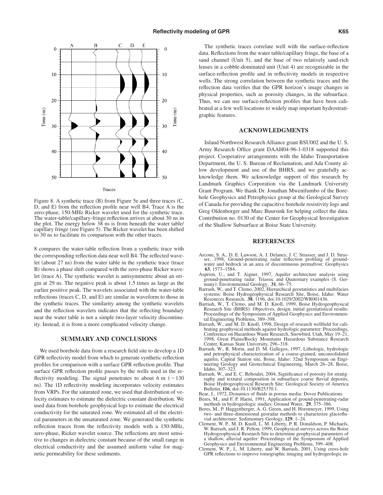



Figure 8. A synthetic trace  $(B)$  from Figure 5e and three traces  $(C,$ D, and E) from the reflection profile near well B4. Trace A is the zero-phase, 150-MHz Ricker wavelet used for the synthetic trace. The water-table/capillary-fringe reflection arrives at about 30 ns in the plot. The energy below 38 ns is from beneath the water table/ capillary fringe (see Figure 5). The Ricker wavelet has been shifted to 30 ns to facilitate its comparison with the other traces.

8 compares the water-table reflection from a synthetic trace with the corresponding reflection data near well B4. The reflected wavelet (about 27 ns) from the water table in the synthetic trace (trace B) shows a phase shift compared with the zero-phase Ricker wavelet (trace A). The synthetic wavelet is antisymmetric about an origin at 29 ns. The negative peak is about 1.5 times as large as the earlier positive peak. The wavelets associated with the water-table reflections (traces C, D, and E) are similar in waveform to those in the synthetic traces. The similarity among the synthetic wavelets and the reflection wavelets indicates that the reflecting boundary near the water table is not a simple two-layer velocity discontinuity. Instead, it is from a more complicated velocity change.

#### **SUMMARY AND CONCLUSIONS**

We used borehole data from a research field site to develop a 1D GPR reflectivity model from which to generate synthetic reflection profiles for comparison with a surface GPR reflection profile. That surface GPR reflection profile passes by the wells used in the reflectivity modeling. The signal penetrates to about 6 m  $($   $\sim$  130 ns). The 1D reflectivity modeling incorporates velocity estimates from VRPs. For the saturated zone, we used that distribution of velocity estimates to estimate the dielectric constant distribution. We used data from borehole geophysical logs to estimate the electrical conductivity for the saturated zone. We estimated all of the electrical parameters in the unsaturated zone. We generated the synthetic reflection traces from the reflectivity models with a 150-MHz, zero-phase, Ricker wavelet source. The reflections are most sensitive to changes in dielectric constant because of the small range in electrical conductivity and the assumed uniform value for magnetic permeability for these sediments.

The synthetic traces correlate well with the surface-reflection data. Reflections from the water table/capillary fringe, the base of a sand channel (Unit 5), and the base of two relatively sand-rich lenses in a cobble-dominated unit (Unit 4) are recognizable in the surface-reflection profile and in reflectivity models in respective wells. The strong correlation between the synthetic traces and the reflection data verifies that the GPR horizon's image changes in physical properties, such as porosity changes, in the subsurface. Thus, we can use surface-reflection profiles that have been calibrated at a few well locations to widely map important hydrostratigraphic features.

# **ACKNOWLEDGMENTS**

Inland Northwest Research Alliance grant BSU002 and the U. S. Army Research Office grant DAAH04-96-1-0318 supported this project. Cooperative arrangements with the Idaho Transportation Department, the U. S. Bureau of Reclamation, and Ada County allow development and use of the BHRS, and we gratefully acknowledge them. We acknowledge support of this research by Landmark Graphics Corporation via the Landmark University Grant Program. We thank Dr. Jonathan Mwenifumbo of the Borehole Geophysics and Petrophysics group at the Geological Survey of Canada for providing the capacitive borehole resistivity logs and Greg Oldenborger and Marc Buursink for helping collect the data. Contribution no. 0130 of the Center for Geophysical Investigation of the Shallow Subsurface at Boise State University.

#### **REFERENCES**

- Arcone, S. A., D. E. Lawson, A. J. Delaney, J. C. Strasser, and J. D. Stras- ser, 1998, Ground-penetrating radar reflection profiling of groundwater and bedrock in an area of discontinuous permafrost: Geophysics **63**, 1573–1584.
- Asprion, U., and T. Aigner, 1997, Aquifer architecture analysis using ground-penetrating radar: Triassic and Quaternary examples S. Germany): Environmental Geology, 31, 66–75.
- Barrash, W., and T. Clemo, 2002, Hierarchical geostatistics and multifacies systems: Boise Hydrogeophysical Research Site, Boise, Idaho: Water Resources Research, **38**, 1196, doi:10.1029/2002/WR001436.
- Barrash, W., T. Clemo, and M. D. Knoll, 1999, Boise Hydrogeophysical Research Site (BHRS): Objectives, design, initial geostatistical results: Proceedings of the Symposium of Applied Geophysics and Environmen-tal Engineering Problems, 389–398.
- Barrash, W., and M. D. Knoll, 1998, Design of research wellfield for calibrating geophysical methods against hydrologic parameter: Proceedings, Conference on Hazardous Waste Research, Snowbird, Utah, May 19–21, 1998, Great Plains/Rocky Mountains Hazardous Substance Research Center, Kansas State University, 296–318. Barrash, W., R. Morin, and D. M. Gallegos, 1997, Lithologic, hydrologic
- and petrophysical characterization of a coarse-grained, unconsolidated aquifer, Capital Station site, Boise, Idaho: 32nd Symposium on Engineering Geology and Geotechnical Engineering, March 26–28, Boise, Idaho, 307–323.
- Barrash, W., and E. C. Reboulet, 2004, Significance of porosity for stratigraphy and textural composition in subsurface coarse fluvial deposits, Boise Hydrogeophysical Research Site: Geological Society of America Bulletin, **116**, doi:10.1130/B25370.1.
- Bear, J., 1972, Dynamics of fluids in porous media: Dover Publications.
- Beres, M., and F. P. Haeni, 1991, Application of ground-penetrating-radar methods in hydrogeologic studies: Ground Water, **29**, 375–386.
- Beres, M., P. Huggenberger, A. G. Green, and H. Horstmeyer, 1999, Using two- and three-dimensional georadar methods to characterize glaciofluvial architecture: Sedimentary Geology, **129**, 1–24.
- Clement, W. P., M. D. Knoll, L. M. Liberty, P. R. Donaldson, P. Michaels, W. Barrash, and J. R. Pelton, 1999, Geophysical surveys across the Boise Hydrogeophysical Research Site to determine geophysical parameters of a shallow, alluvial aquifer: Proceedings of the Symposium of Applied Geophysics and Environmental Engineering Problems, 399–408.
- Clement, W. P., L. M. Liberty, and W. Barrash, 2001, Using cross-hole GPR reflections to improve tomographic imaging and hydrogeologic in-